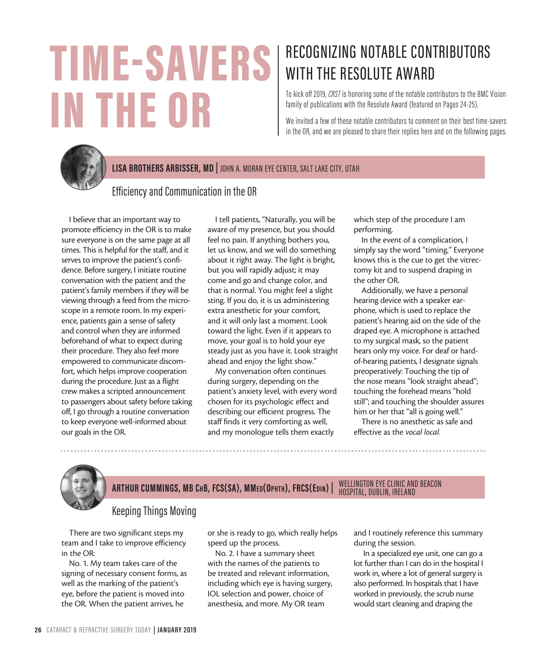# TIME-SAVERS IN THE OR

# RECOGNIZING NOTABLE CONTRIBUTORS WITH THE RESOLUTE AWARD

To kick off 2019, *CRST* is honoring some of the notable contributors to the BMC Vision family of publications with the Resolute Award (featured on Pages 24-25).

We invited a few of these notable contributors to comment on their best time-savers in the OR, and we are pleased to share their replies here and on the following pages.



#### **LISA BROTHERS ARBISSER, MD |** JOHN A. MORAN EYE CENTER, SALT LAKE CITY, UTAH

#### Efficiency and Communication in the OR

I believe that an important way to promote efficiency in the OR is to make sure everyone is on the same page at all times. This is helpful for the staff, and it serves to improve the patient's confidence. Before surgery, I initiate routine conversation with the patient and the patient's family members if they will be viewing through a feed from the microscope in a remote room. In my experience, patients gain a sense of safety and control when they are informed beforehand of what to expect during their procedure. They also feel more empowered to communicate discomfort, which helps improve cooperation during the procedure. Just as a flight crew makes a scripted announcement to passengers about safety before taking off, I go through a routine conversation to keep everyone well-informed about our goals in the OR.

I tell patients, "Naturally, you will be aware of my presence, but you should feel no pain. If anything bothers you, let us know, and we will do something about it right away. The light is bright, but you will rapidly adjust; it may come and go and change color, and that is normal. You might feel a slight sting. If you do, it is us administering extra anesthetic for your comfort, and it will only last a moment. Look toward the light. Even if it appears to move, your goal is to hold your eye steady just as you have it. Look straight ahead and enjoy the light show."

My conversation often continues during surgery, depending on the patient's anxiety level, with every word chosen for its psychologic effect and describing our efficient progress. The staff finds it very comforting as well, and my monologue tells them exactly

which step of the procedure I am performing.

In the event of a complication, I simply say the word "timing." Everyone knows this is the cue to get the vitrectomy kit and to suspend draping in the other OR.

Additionally, we have a personal hearing device with a speaker earphone, which is used to replace the patient's hearing aid on the side of the draped eye. A microphone is attached to my surgical mask, so the patient hears only my voice. For deaf or hardof-hearing patients, I designate signals preoperatively: Touching the tip of the nose means "look straight ahead"; touching the forehead means "hold still"; and touching the shoulder assures him or her that "all is going well."

There is no anesthetic as safe and effective as the *vocal local*.



#### **ARTHUR CUMMINGS, MB ChB, FCS(SA), MMed(Ophth), FRCS(Edin) |** WELLINGTON EYE CLINIC AND BEACON HOSPITAL, DUBLIN, IRELAND

#### Keeping Things Moving

There are two significant steps my team and I take to improve efficiency in the OR:

No. 1. My team takes care of the signing of necessary consent forms, as well as the marking of the patient's eye, before the patient is moved into the OR. When the patient arrives, he

or she is ready to go, which really helps speed up the process.

No. 2. I have a summary sheet with the names of the patients to be treated and relevant information, including which eye is having surgery, IOL selection and power, choice of anesthesia, and more. My OR team

and I routinely reference this summary during the session.

 In a specialized eye unit, one can go a lot further than I can do in the hospital I work in, where a lot of general surgery is also performed. In hospitals that I have worked in previously, the scrub nurse would start cleaning and draping the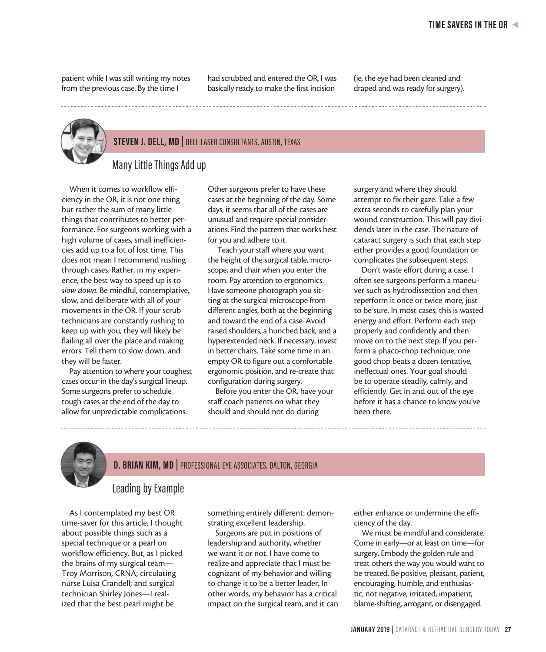patient while I was still writing my notes from the previous case. By the time I

had scrubbed and entered the OR, I was basically ready to make the first incision

(ie, the eye had been cleaned and draped and was ready for surgery).

### **STEVEN J. DELL, MD |** DELL LASER CONSULTANTS, AUSTIN, TEXAS

Many Little Things Add up

When it comes to workflow efficiency in the OR, it is not one thing but rather the sum of many little things that contributes to better performance. For surgeons working with a high volume of cases, small inefficiencies add up to a lot of lost time. This does not mean I recommend rushing through cases. Rather, in my experience, the best way to speed up is to *slow down*. Be mindful, contemplative, slow, and deliberate with all of your movements in the OR. If your scrub technicians are constantly rushing to keep up with you, they will likely be flailing all over the place and making errors. Tell them to slow down, and they will be faster.

Pay attention to where your toughest cases occur in the day's surgical lineup. Some surgeons prefer to schedule tough cases at the end of the day to allow for unpredictable complications.

Other surgeons prefer to have these cases at the beginning of the day. Some days, it seems that all of the cases are unusual and require special considerations. Find the pattern that works best for you and adhere to it.

 Teach your staff where you want the height of the surgical table, microscope, and chair when you enter the room. Pay attention to ergonomics. Have someone photograph you sitting at the surgical microscope from different angles, both at the beginning and toward the end of a case. Avoid raised shoulders, a hunched back, and a hyperextended neck. If necessary, invest in better chairs. Take some time in an empty OR to figure out a comfortable ergonomic position, and re-create that configuration during surgery.

Before you enter the OR, have your staff coach patients on what they should and should not do during

surgery and where they should attempt to fix their gaze. Take a few extra seconds to carefully plan your wound construction. This will pay dividends later in the case. The nature of cataract surgery is such that each step either provides a good foundation or complicates the subsequent steps.

Don't waste effort during a case. I often see surgeons perform a maneuver such as hydrodissection and then reperform it once or twice more, just to be sure. In most cases, this is wasted energy and effort. Perform each step properly and confidently and then move on to the next step. If you perform a phaco-chop technique, one good chop beats a dozen tentative, ineffectual ones. Your goal should be to operate steadily, calmly, and efficiently. Get in and out of the eye before it has a chance to know you've been there.



## **D. BRIAN KIM, MD |** PROFESSIONAL EYE ASSOCIATES, DALTON, GEORGIA

#### Leading by Example

As I contemplated my best OR time-saver for this article, I thought about possible things such as a special technique or a pearl on workflow efficiency. But, as I picked the brains of my surgical team— Troy Morrison, CRNA; circulating nurse Luisa Crandell; and surgical technician Shirley Jones—I realized that the best pearl might be

something entirely different: demonstrating excellent leadership.

Surgeons are put in positions of leadership and authority, whether we want it or not. I have come to realize and appreciate that I must be cognizant of my behavior and willing to change it to be a better leader. In other words, my behavior has a critical impact on the surgical team, and it can either enhance or undermine the efficiency of the day.

We must be mindful and considerate. Come in early—or at least on time—for surgery. Embody the golden rule and treat others the way you would want to be treated. Be positive, pleasant, patient, encouraging, humble, and enthusiastic, not negative, irritated, impatient, blame-shifting, arrogant, or disengaged.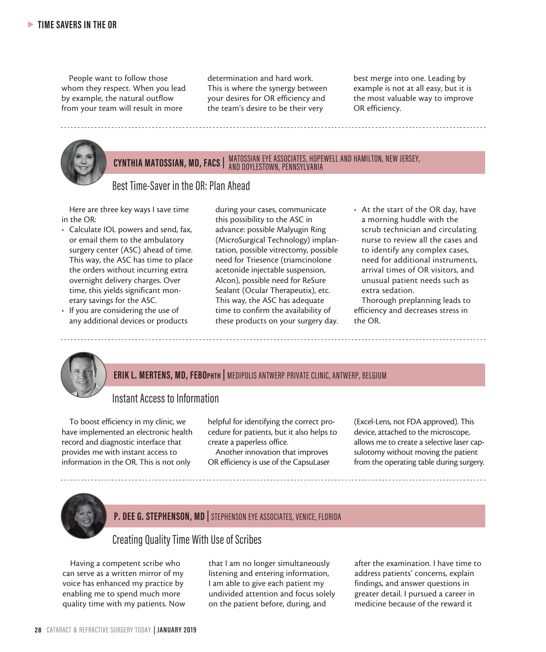People want to follow those whom they respect. When you lead by example, the natural outflow from your team will result in more

determination and hard work. This is where the synergy between your desires for OR efficiency and the team's desire to be their very

best merge into one. Leading by example is not at all easy, but it is the most valuable way to improve OR efficiency.



## **CYNTHIA MATOSSIAN, MD, FACS |** MATOSSIAN EYE ASSOCIATES, HOPEWELL AND HAMILTON, NEW JERSEY, AND DOYLESTOWN, PENNSYLVANIA

#### Best Time-Saver in the OR: Plan Ahead

Here are three key ways I save time in the OR:

- Calculate IOL powers and send, fax, or email them to the ambulatory surgery center (ASC) ahead of time. This way, the ASC has time to place the orders without incurring extra overnight delivery charges. Over time, this yields significant monetary savings for the ASC.
- If you are considering the use of any additional devices or products

during your cases, communicate this possibility to the ASC in advance: possible Malyugin Ring (MicroSurgical Technology) implantation, possible vitrectomy, possible need for Triesence (triamcinolone acetonide injectable suspension, Alcon), possible need for ReSure Sealant (Ocular Therapeutix), etc. This way, the ASC has adequate time to confirm the availability of these products on your surgery day. • At the start of the OR day, have a morning huddle with the scrub technician and circulating nurse to review all the cases and to identify any complex cases, need for additional instruments, arrival times of OR visitors, and unusual patient needs such as extra sedation.

Thorough preplanning leads to efficiency and decreases stress in the OR.



#### **ERIK L. MERTENS, MD, FEBOphth |** MEDIPOLIS ANTWERP PRIVATE CLINIC, ANTWERP, BELGIUM

#### Instant Access to Information

To boost efficiency in my clinic, we have implemented an electronic health record and diagnostic interface that provides me with instant access to information in the OR. This is not only

helpful for identifying the correct procedure for patients, but it also helps to create a paperless office.

Another innovation that improves OR efficiency is use of the CapsuLaser

(Excel-Lens, not FDA approved). This device, attached to the microscope, allows me to create a selective laser capsulotomy without moving the patient from the operating table during surgery.



#### **P. DEE G. STEPHENSON, MD |** STEPHENSON EYE ASSOCIATES, VENICE, FLORIDA

#### Creating Quality Time With Use of Scribes

Having a competent scribe who can serve as a written mirror of my voice has enhanced my practice by enabling me to spend much more quality time with my patients. Now

that I am no longer simultaneously listening and entering information, I am able to give each patient my undivided attention and focus solely on the patient before, during, and

after the examination. I have time to address patients' concerns, explain findings, and answer questions in greater detail. I pursued a career in medicine because of the reward it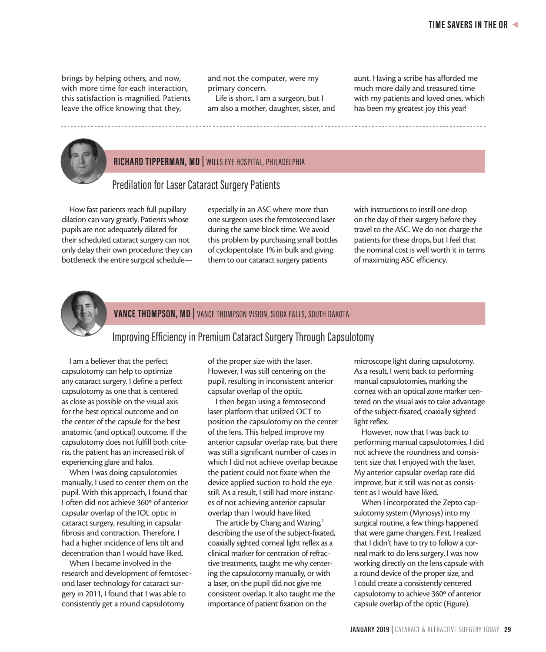brings by helping others, and now, with more time for each interaction, this satisfaction is magnified. Patients leave the office knowing that they,

and not the computer, were my primary concern.

Life is short. I am a surgeon, but I am also a mother, daughter, sister, and aunt. Having a scribe has afforded me much more daily and treasured time with my patients and loved ones, which has been my greatest joy this year!



#### **RICHARD TIPPERMAN, MD |** WILLS EYE HOSPITAL, PHILADELPHIA

#### Predilation for Laser Cataract Surgery Patients

How fast patients reach full pupillary dilation can vary greatly. Patients whose pupils are not adequately dilated for their scheduled cataract surgery can not only delay their own procedure; they can bottleneck the entire surgical scheduleespecially in an ASC where more than one surgeon uses the femtosecond laser during the same block time. We avoid this problem by purchasing small bottles of cyclopentolate 1% in bulk and giving them to our cataract surgery patients

with instructions to instill one drop on the day of their surgery before they travel to the ASC. We do not charge the patients for these drops, but I feel that the nominal cost is well worth it in terms of maximizing ASC efficiency.



#### **VANCE THOMPSON, MD |** VANCE THOMPSON VISION, SIOUX FALLS, SOUTH DAKOTA

Improving Efficiency in Premium Cataract Surgery Through Capsulotomy

I am a believer that the perfect capsulotomy can help to optimize any cataract surgery. I define a perfect capsulotomy as one that is centered as close as possible on the visual axis for the best optical outcome and on the center of the capsule for the best anatomic (and optical) outcome. If the capsulotomy does not fulfill both criteria, the patient has an increased risk of experiencing glare and halos.

When I was doing capsulotomies manually, I used to center them on the pupil. With this approach, I found that I often did not achieve 360º of anterior capsular overlap of the IOL optic in cataract surgery, resulting in capsular fibrosis and contraction. Therefore, I had a higher incidence of lens tilt and decentration than I would have liked.

When I became involved in the research and development of femtosecond laser technology for cataract surgery in 2011, I found that I was able to consistently get a round capsulotomy

of the proper size with the laser. However, I was still centering on the pupil, resulting in inconsistent anterior capsular overlap of the optic.

I then began using a femtosecond laser platform that utilized OCT to position the capsulotomy on the center of the lens. This helped improve my anterior capsular overlap rate, but there was still a significant number of cases in which I did not achieve overlap because the patient could not fixate when the device applied suction to hold the eye still. As a result, I still had more instances of not achieving anterior capsular overlap than I would have liked.

The article by Chang and Waring,<sup>1</sup> describing the use of the subject-fixated, coaxially sighted corneal light reflex as a clinical marker for centration of refractive treatments, taught me why centering the capsulotomy manually, or with a laser, on the pupil did not give me consistent overlap. It also taught me the importance of patient fixation on the

microscope light during capsulotomy. As a result, I went back to performing manual capsulotomies, marking the cornea with an optical zone marker centered on the visual axis to take advantage of the subject-fixated, coaxially sighted light reflex.

However, now that I was back to performing manual capsulotomies, I did not achieve the roundness and consistent size that I enjoyed with the laser. My anterior capsular overlap rate did improve, but it still was not as consistent as I would have liked.

When I incorporated the Zepto capsulotomy system (Mynosys) into my surgical routine, a few things happened that were game changers. First, I realized that I didn't have to try to follow a corneal mark to do lens surgery. I was now working directly on the lens capsule with a round device of the proper size, and I could create a consistently centered capsulotomy to achieve 360º of anterior capsule overlap of the optic (Figure).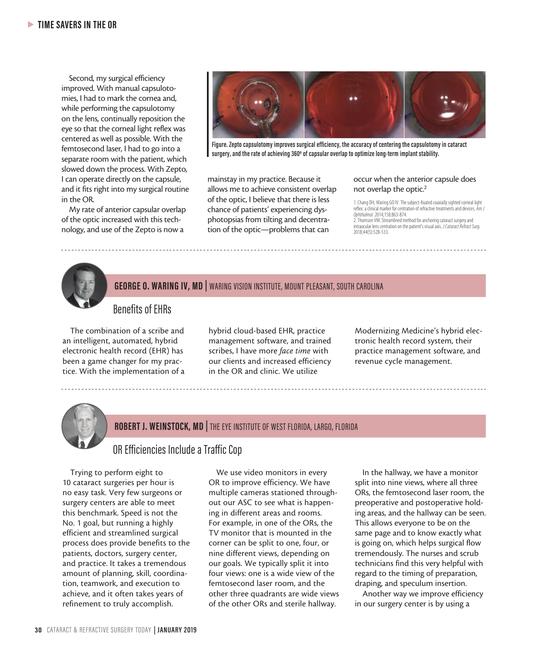Second, my surgical efficiency improved. With manual capsulotomies, I had to mark the cornea and, while performing the capsulotomy on the lens, continually reposition the eye so that the corneal light reflex was centered as well as possible. With the femtosecond laser, I had to go into a separate room with the patient, which slowed down the process. With Zepto, I can operate directly on the capsule, and it fits right into my surgical routine in the OR.

My rate of anterior capsular overlap of the optic increased with this technology, and use of the Zepto is now a



**Figure. Zepto capsulotomy improves surgical efficiency, the accuracy of centering the capsulotomy in cataract surgery, and the rate of achieving 360º of capsular overlap to optimize long-term implant stability.**

2018;44(5):528-533.

mainstay in my practice. Because it allows me to achieve consistent overlap of the optic, I believe that there is less chance of patients' experiencing dysphotopsias from tilting and decentration of the optic—problems that can

#### occur when the anterior capsule does not overlap the optic.<sup>2</sup>

1. Chang DH, Waring GO IV. The subject-fixated coaxially sighted corneal light reflex: a clinical marker for centration of refractive treatments and devices. *Am J Ophthalmol*. 2014;158:863-874. 2. Thomson VM. Streamlined method for anchoring cataract surgery and intraocular lens centration on the patient's visual axis. *J Cataract Refract Surg.* 

#### **GEORGE O. WARING IV, MD |** WARING VISION INSTITUTE, MOUNT PLEASANT, SOUTH CAROLINA

#### Benefits of EHRs

The combination of a scribe and an intelligent, automated, hybrid electronic health record (EHR) has been a game changer for my practice. With the implementation of a hybrid cloud-based EHR, practice management software, and trained scribes, I have more *face time* with our clients and increased efficiency in the OR and clinic. We utilize

Modernizing Medicine's hybrid electronic health record system, their practice management software, and revenue cycle management.



#### **ROBERT J. WEINSTOCK, MD |** THE EYE INSTITUTE OF WEST FLORIDA, LARGO, FLORIDA

#### OR Efficiencies Include a Traffic Cop

Trying to perform eight to 10 cataract surgeries per hour is no easy task. Very few surgeons or surgery centers are able to meet this benchmark. Speed is not the No. 1 goal, but running a highly efficient and streamlined surgical process does provide benefits to the patients, doctors, surgery center, and practice. It takes a tremendous amount of planning, skill, coordination, teamwork, and execution to achieve, and it often takes years of refinement to truly accomplish.

We use video monitors in every OR to improve efficiency. We have multiple cameras stationed throughout our ASC to see what is happening in different areas and rooms. For example, in one of the ORs, the TV monitor that is mounted in the corner can be split to one, four, or nine different views, depending on our goals. We typically split it into four views: one is a wide view of the femtosecond laser room, and the other three quadrants are wide views of the other ORs and sterile hallway.

In the hallway, we have a monitor split into nine views, where all three ORs, the femtosecond laser room, the preoperative and postoperative holding areas, and the hallway can be seen. This allows everyone to be on the same page and to know exactly what is going on, which helps surgical flow tremendously. The nurses and scrub technicians find this very helpful with regard to the timing of preparation, draping, and speculum insertion.

Another way we improve efficiency in our surgery center is by using a